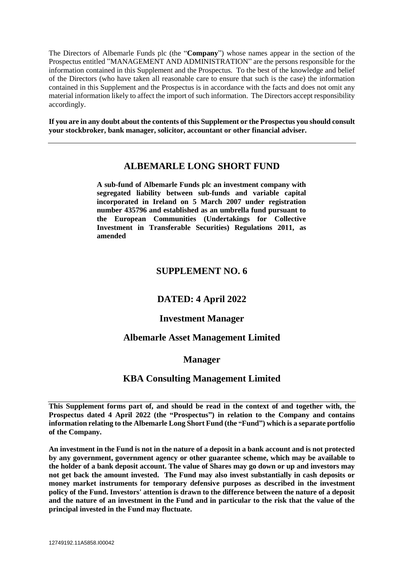The Directors of Albemarle Funds plc (the "**Company**") whose names appear in the section of the Prospectus entitled "MANAGEMENT AND ADMINISTRATION" are the persons responsible for the information contained in this Supplement and the Prospectus. To the best of the knowledge and belief of the Directors (who have taken all reasonable care to ensure that such is the case) the information contained in this Supplement and the Prospectus is in accordance with the facts and does not omit any material information likely to affect the import of such information. The Directors accept responsibility accordingly.

**If you are in any doubt about the contents of this Supplement or the Prospectus you should consult your stockbroker, bank manager, solicitor, accountant or other financial adviser.**

# **ALBEMARLE LONG SHORT FUND**

**A sub-fund of Albemarle Funds plc an investment company with segregated liability between sub-funds and variable capital incorporated in Ireland on 5 March 2007 under registration number 435796 and established as an umbrella fund pursuant to the European Communities (Undertakings for Collective Investment in Transferable Securities) Regulations 2011, as amended**

# **SUPPLEMENT NO. 6**

# **DATED: 4 April 2022**

## **Investment Manager**

# **Albemarle Asset Management Limited**

## **Manager**

# **KBA Consulting Management Limited**

**This Supplement forms part of, and should be read in the context of and together with, the Prospectus dated 4 April 2022 (the "Prospectus") in relation to the Company and contains information relating to the Albemarle Long Short Fund (the "Fund") which is a separate portfolio of the Company.** 

**An investment in the Fund is not in the nature of a deposit in a bank account and is not protected by any government, government agency or other guarantee scheme, which may be available to the holder of a bank deposit account. The value of Shares may go down or up and investors may not get back the amount invested. The Fund may also invest substantially in cash deposits or money market instruments for temporary defensive purposes as described in the investment policy of the Fund. Investors' attention is drawn to the difference between the nature of a deposit and the nature of an investment in the Fund and in particular to the risk that the value of the principal invested in the Fund may fluctuate.**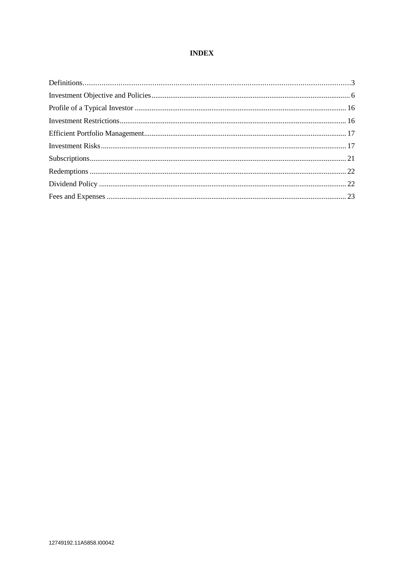## **INDEX**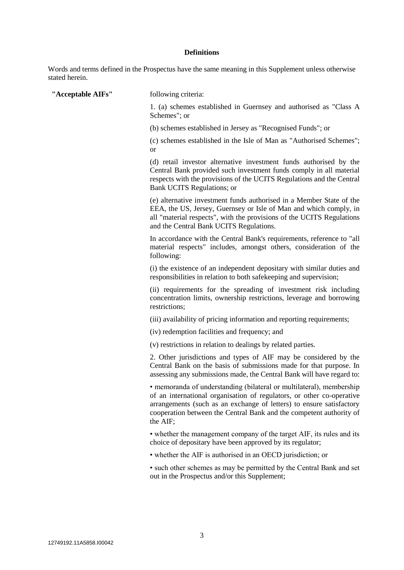## **Definitions**

Words and terms defined in the Prospectus have the same meaning in this Supplement unless otherwise stated herein.

| "Acceptable AIFs" | following criteria:                                                                                                                                                                                                                                                                                      |
|-------------------|----------------------------------------------------------------------------------------------------------------------------------------------------------------------------------------------------------------------------------------------------------------------------------------------------------|
|                   | 1. (a) schemes established in Guernsey and authorised as "Class A<br>Schemes"; or                                                                                                                                                                                                                        |
|                   | (b) schemes established in Jersey as "Recognised Funds"; or                                                                                                                                                                                                                                              |
|                   | (c) schemes established in the Isle of Man as "Authorised Schemes";<br>or                                                                                                                                                                                                                                |
|                   | (d) retail investor alternative investment funds authorised by the<br>Central Bank provided such investment funds comply in all material<br>respects with the provisions of the UCITS Regulations and the Central<br>Bank UCITS Regulations; or                                                          |
|                   | (e) alternative investment funds authorised in a Member State of the<br>EEA, the US, Jersey, Guernsey or Isle of Man and which comply, in<br>all "material respects", with the provisions of the UCITS Regulations<br>and the Central Bank UCITS Regulations.                                            |
|                   | In accordance with the Central Bank's requirements, reference to "all<br>material respects" includes, amongst others, consideration of the<br>following:                                                                                                                                                 |
|                   | (i) the existence of an independent depositary with similar duties and<br>responsibilities in relation to both safekeeping and supervision;                                                                                                                                                              |
|                   | (ii) requirements for the spreading of investment risk including<br>concentration limits, ownership restrictions, leverage and borrowing<br>restrictions;                                                                                                                                                |
|                   | (iii) availability of pricing information and reporting requirements;                                                                                                                                                                                                                                    |
|                   | (iv) redemption facilities and frequency; and                                                                                                                                                                                                                                                            |
|                   | (v) restrictions in relation to dealings by related parties.                                                                                                                                                                                                                                             |
|                   | 2. Other jurisdictions and types of AIF may be considered by the<br>Central Bank on the basis of submissions made for that purpose. In<br>assessing any submissions made, the Central Bank will have regard to:                                                                                          |
|                   | · memoranda of understanding (bilateral or multilateral), membership<br>of an international organisation of regulators, or other co-operative<br>arrangements (such as an exchange of letters) to ensure satisfactory<br>cooperation between the Central Bank and the competent authority of<br>the AIF; |
|                   | • whether the management company of the target AIF, its rules and its<br>choice of depositary have been approved by its regulator;                                                                                                                                                                       |
|                   | • whether the AIF is authorised in an OECD jurisdiction; or                                                                                                                                                                                                                                              |
|                   | • such other schemes as may be permitted by the Central Bank and set<br>out in the Prospectus and/or this Supplement;                                                                                                                                                                                    |
|                   |                                                                                                                                                                                                                                                                                                          |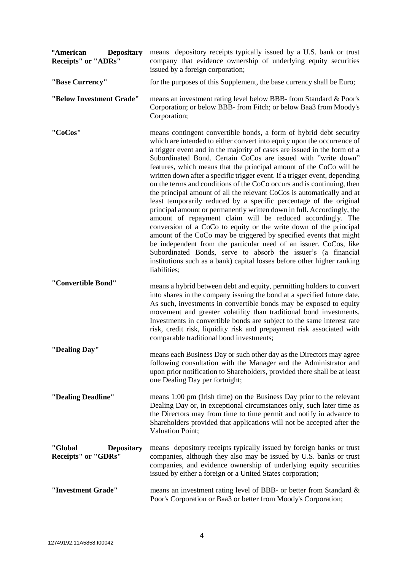| "American<br><b>Depositary</b><br><b>Receipts" or "ADRs"</b> | means depository receipts typically issued by a U.S. bank or trust<br>company that evidence ownership of underlying equity securities<br>issued by a foreign corporation;                                                                                                                                                                                                                                                                                                                                                                                                                                                                                                                                                                                                                                                                                                                                                                                                                                                                                                                                                                                                                     |  |
|--------------------------------------------------------------|-----------------------------------------------------------------------------------------------------------------------------------------------------------------------------------------------------------------------------------------------------------------------------------------------------------------------------------------------------------------------------------------------------------------------------------------------------------------------------------------------------------------------------------------------------------------------------------------------------------------------------------------------------------------------------------------------------------------------------------------------------------------------------------------------------------------------------------------------------------------------------------------------------------------------------------------------------------------------------------------------------------------------------------------------------------------------------------------------------------------------------------------------------------------------------------------------|--|
| "Base Currency"                                              | for the purposes of this Supplement, the base currency shall be Euro;                                                                                                                                                                                                                                                                                                                                                                                                                                                                                                                                                                                                                                                                                                                                                                                                                                                                                                                                                                                                                                                                                                                         |  |
| "Below Investment Grade"                                     | means an investment rating level below BBB- from Standard & Poor's<br>Corporation; or below BBB- from Fitch; or below Baa3 from Moody's<br>Corporation;                                                                                                                                                                                                                                                                                                                                                                                                                                                                                                                                                                                                                                                                                                                                                                                                                                                                                                                                                                                                                                       |  |
| "CoCos"                                                      | means contingent convertible bonds, a form of hybrid debt security<br>which are intended to either convert into equity upon the occurrence of<br>a trigger event and in the majority of cases are issued in the form of a<br>Subordinated Bond. Certain CoCos are issued with "write down"<br>features, which means that the principal amount of the CoCo will be<br>written down after a specific trigger event. If a trigger event, depending<br>on the terms and conditions of the CoCo occurs and is continuing, then<br>the principal amount of all the relevant CoCos is automatically and at<br>least temporarily reduced by a specific percentage of the original<br>principal amount or permanently written down in full. Accordingly, the<br>amount of repayment claim will be reduced accordingly. The<br>conversion of a CoCo to equity or the write down of the principal<br>amount of the CoCo may be triggered by specified events that might<br>be independent from the particular need of an issuer. CoCos, like<br>Subordinated Bonds, serve to absorb the issuer's (a financial<br>institutions such as a bank) capital losses before other higher ranking<br>liabilities; |  |
| "Convertible Bond"                                           | means a hybrid between debt and equity, permitting holders to convert<br>into shares in the company issuing the bond at a specified future date.<br>As such, investments in convertible bonds may be exposed to equity<br>movement and greater volatility than traditional bond investments.<br>Investments in convertible bonds are subject to the same interest rate<br>risk, credit risk, liquidity risk and prepayment risk associated with<br>comparable traditional bond investments;                                                                                                                                                                                                                                                                                                                                                                                                                                                                                                                                                                                                                                                                                                   |  |
| "Dealing Day"                                                | means each Business Day or such other day as the Directors may agree<br>following consultation with the Manager and the Administrator and<br>upon prior notification to Shareholders, provided there shall be at least<br>one Dealing Day per fortnight;                                                                                                                                                                                                                                                                                                                                                                                                                                                                                                                                                                                                                                                                                                                                                                                                                                                                                                                                      |  |
| "Dealing Deadline"                                           | means 1:00 pm (Irish time) on the Business Day prior to the relevant<br>Dealing Day or, in exceptional circumstances only, such later time as<br>the Directors may from time to time permit and notify in advance to<br>Shareholders provided that applications will not be accepted after the<br><b>Valuation Point;</b>                                                                                                                                                                                                                                                                                                                                                                                                                                                                                                                                                                                                                                                                                                                                                                                                                                                                     |  |
| "Global<br><b>Depositary</b><br><b>Receipts"</b> or "GDRs"   | means depository receipts typically issued by foreign banks or trust<br>companies, although they also may be issued by U.S. banks or trust<br>companies, and evidence ownership of underlying equity securities<br>issued by either a foreign or a United States corporation;                                                                                                                                                                                                                                                                                                                                                                                                                                                                                                                                                                                                                                                                                                                                                                                                                                                                                                                 |  |
| "Investment Grade"                                           | means an investment rating level of BBB- or better from Standard &<br>Poor's Corporation or Baa3 or better from Moody's Corporation;                                                                                                                                                                                                                                                                                                                                                                                                                                                                                                                                                                                                                                                                                                                                                                                                                                                                                                                                                                                                                                                          |  |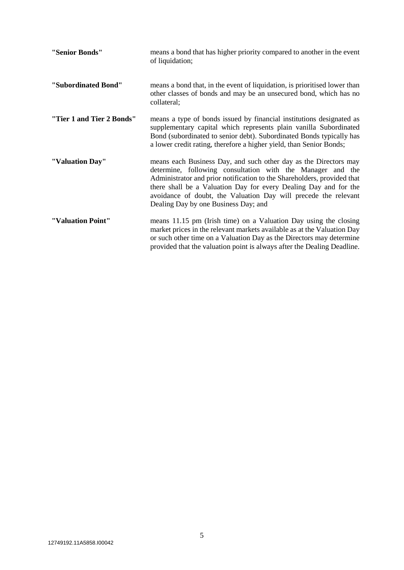| "Senior Bonds"            | means a bond that has higher priority compared to another in the event<br>of liquidation;                                                                                                                                                                                                                                                                                                |
|---------------------------|------------------------------------------------------------------------------------------------------------------------------------------------------------------------------------------------------------------------------------------------------------------------------------------------------------------------------------------------------------------------------------------|
| "Subordinated Bond"       | means a bond that, in the event of liquidation, is prioritised lower than<br>other classes of bonds and may be an unsecured bond, which has no<br>collateral;                                                                                                                                                                                                                            |
| "Tier 1 and Tier 2 Bonds" | means a type of bonds issued by financial institutions designated as<br>supplementary capital which represents plain vanilla Subordinated<br>Bond (subordinated to senior debt). Subordinated Bonds typically has<br>a lower credit rating, therefore a higher yield, than Senior Bonds;                                                                                                 |
| "Valuation Day"           | means each Business Day, and such other day as the Directors may<br>determine, following consultation with the Manager and the<br>Administrator and prior notification to the Shareholders, provided that<br>there shall be a Valuation Day for every Dealing Day and for the<br>avoidance of doubt, the Valuation Day will precede the relevant<br>Dealing Day by one Business Day; and |
| "Valuation Point"         | means 11.15 pm (Irish time) on a Valuation Day using the closing<br>market prices in the relevant markets available as at the Valuation Day<br>or such other time on a Valuation Day as the Directors may determine<br>provided that the valuation point is always after the Dealing Deadline.                                                                                           |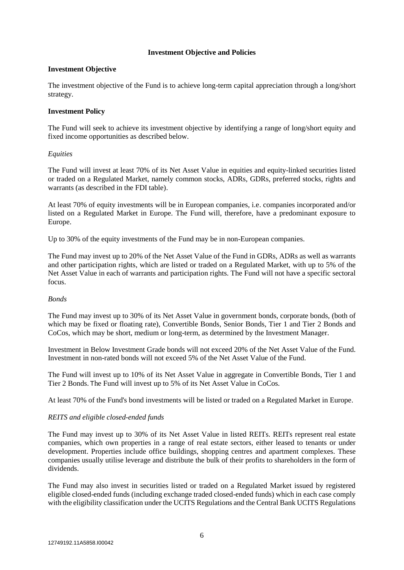### **Investment Objective and Policies**

### **Investment Objective**

The investment objective of the Fund is to achieve long-term capital appreciation through a long/short strategy.

### **Investment Policy**

The Fund will seek to achieve its investment objective by identifying a range of long/short equity and fixed income opportunities as described below.

### *Equities*

The Fund will invest at least 70% of its Net Asset Value in equities and equity-linked securities listed or traded on a Regulated Market, namely common stocks, ADRs, GDRs, preferred stocks, rights and warrants (as described in the FDI table).

At least 70% of equity investments will be in European companies, i.e. companies incorporated and/or listed on a Regulated Market in Europe. The Fund will, therefore, have a predominant exposure to Europe.

Up to 30% of the equity investments of the Fund may be in non-European companies.

The Fund may invest up to 20% of the Net Asset Value of the Fund in GDRs, ADRs as well as warrants and other participation rights, which are listed or traded on a Regulated Market, with up to 5% of the Net Asset Value in each of warrants and participation rights. The Fund will not have a specific sectoral focus.

#### *Bonds*

The Fund may invest up to 30% of its Net Asset Value in government bonds, corporate bonds, (both of which may be fixed or floating rate), Convertible Bonds, Senior Bonds, Tier 1 and Tier 2 Bonds and CoCos, which may be short, medium or long-term, as determined by the Investment Manager.

Investment in Below Investment Grade bonds will not exceed 20% of the Net Asset Value of the Fund. Investment in non-rated bonds will not exceed 5% of the Net Asset Value of the Fund.

The Fund will invest up to 10% of its Net Asset Value in aggregate in Convertible Bonds, Tier 1 and Tier 2 Bonds. The Fund will invest up to 5% of its Net Asset Value in CoCos.

At least 70% of the Fund's bond investments will be listed or traded on a Regulated Market in Europe.

## *REITS and eligible closed-ended funds*

The Fund may invest up to 30% of its Net Asset Value in listed REITs. REITs represent real estate companies, which own properties in a range of real estate sectors, either leased to tenants or under development. Properties include office buildings, shopping centres and apartment complexes. These companies usually utilise leverage and distribute the bulk of their profits to shareholders in the form of dividends.

The Fund may also invest in securities listed or traded on a Regulated Market issued by registered eligible closed-ended funds (including exchange traded closed-ended funds) which in each case comply with the eligibility classification under the UCITS Regulations and the Central Bank UCITS Regulations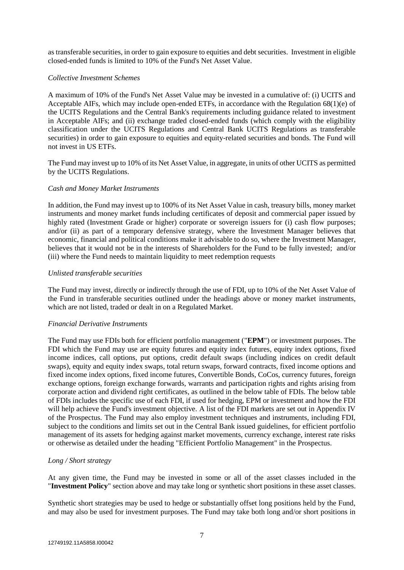as transferable securities, in order to gain exposure to equities and debt securities. Investment in eligible closed-ended funds is limited to 10% of the Fund's Net Asset Value.

#### *Collective Investment Schemes*

A maximum of 10% of the Fund's Net Asset Value may be invested in a cumulative of: (i) UCITS and Acceptable AIFs, which may include open-ended ETFs, in accordance with the Regulation 68(1)(e) of the UCITS Regulations and the Central Bank's requirements including guidance related to investment in Acceptable AIFs; and (ii) exchange traded closed-ended funds (which comply with the eligibility classification under the UCITS Regulations and Central Bank UCITS Regulations as transferable securities) in order to gain exposure to equities and equity-related securities and bonds. The Fund will not invest in US ETFs.

The Fund may invest up to 10% of its Net Asset Value, in aggregate, in units of other UCITS as permitted by the UCITS Regulations.

#### *Cash and Money Market Instruments*

In addition, the Fund may invest up to 100% of its Net Asset Value in cash, treasury bills, money market instruments and money market funds including certificates of deposit and commercial paper issued by highly rated (Investment Grade or higher) corporate or sovereign issuers for (i) cash flow purposes; and/or (ii) as part of a temporary defensive strategy, where the Investment Manager believes that economic, financial and political conditions make it advisable to do so, where the Investment Manager, believes that it would not be in the interests of Shareholders for the Fund to be fully invested; and/or (iii) where the Fund needs to maintain liquidity to meet redemption requests

#### *Unlisted transferable securities*

The Fund may invest, directly or indirectly through the use of FDI, up to 10% of the Net Asset Value of the Fund in transferable securities outlined under the headings above or money market instruments, which are not listed, traded or dealt in on a Regulated Market.

#### *Financial Derivative Instruments*

The Fund may use FDIs both for efficient portfolio management ("**EPM**") or investment purposes. The FDI which the Fund may use are equity futures and equity index futures, equity index options, fixed income indices, call options, put options, credit default swaps (including indices on credit default swaps), equity and equity index swaps, total return swaps, forward contracts, fixed income options and fixed income index options, fixed income futures, Convertible Bonds, CoCos, currency futures, foreign exchange options, foreign exchange forwards, warrants and participation rights and rights arising from corporate action and dividend right certificates, as outlined in the below table of FDIs. The below table of FDIs includes the specific use of each FDI, if used for hedging, EPM or investment and how the FDI will help achieve the Fund's investment objective. A list of the FDI markets are set out in Appendix IV of the Prospectus. The Fund may also employ investment techniques and instruments, including FDI, subject to the conditions and limits set out in the Central Bank issued guidelines, for efficient portfolio management of its assets for hedging against market movements, currency exchange, interest rate risks or otherwise as detailed under the heading "Efficient Portfolio Management" in the Prospectus.

#### *Long / Short strategy*

At any given time, the Fund may be invested in some or all of the asset classes included in the "**Investment Policy**" section above and may take long or synthetic short positions in these asset classes.

Synthetic short strategies may be used to hedge or substantially offset long positions held by the Fund, and may also be used for investment purposes. The Fund may take both long and/or short positions in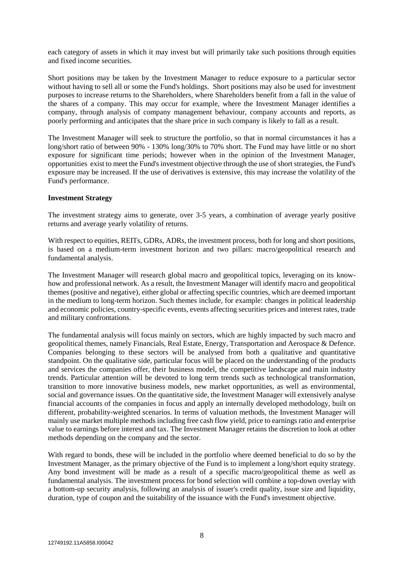each category of assets in which it may invest but will primarily take such positions through equities and fixed income securities.

Short positions may be taken by the Investment Manager to reduce exposure to a particular sector without having to sell all or some the Fund's holdings. Short positions may also be used for investment purposes to increase returns to the Shareholders, where Shareholders benefit from a fall in the value of the shares of a company. This may occur for example, where the Investment Manager identifies a company, through analysis of company management behaviour, company accounts and reports, as poorly performing and anticipates that the share price in such company is likely to fall as a result.

The Investment Manager will seek to structure the portfolio, so that in normal circumstances it has a long/short ratio of between 90% - 130% long/30% to 70% short. The Fund may have little or no short exposure for significant time periods; however when in the opinion of the Investment Manager, opportunities exist to meet the Fund's investment objective through the use of short strategies, the Fund's exposure may be increased. If the use of derivatives is extensive, this may increase the volatility of the Fund's performance.

#### **Investment Strategy**

The investment strategy aims to generate, over 3-5 years, a combination of average yearly positive returns and average yearly volatility of returns.

With respect to equities, REITs, GDRs, ADRs, the investment process, both for long and short positions, is based on a medium-term investment horizon and two pillars: macro/geopolitical research and fundamental analysis.

The Investment Manager will research global macro and geopolitical topics, leveraging on its knowhow and professional network. As a result, the Investment Manager will identify macro and geopolitical themes (positive and negative), either global or affecting specific countries, which are deemed important in the medium to long-term horizon. Such themes include, for example: changes in political leadership and economic policies, country-specific events, events affecting securities prices and interest rates, trade and military confrontations.

The fundamental analysis will focus mainly on sectors, which are highly impacted by such macro and geopolitical themes, namely Financials, Real Estate, Energy, Transportation and Aerospace & Defence. Companies belonging to these sectors will be analysed from both a qualitative and quantitative standpoint. On the qualitative side, particular focus will be placed on the understanding of the products and services the companies offer, their business model, the competitive landscape and main industry trends. Particular attention will be devoted to long term trends such as technological transformation, transition to more innovative business models, new market opportunities, as well as environmental, social and governance issues. On the quantitative side, the Investment Manager will extensively analyse financial accounts of the companies in focus and apply an internally developed methodology, built on different, probability-weighted scenarios. In terms of valuation methods, the Investment Manager will mainly use market multiple methods including free cash flow yield, price to earnings ratio and enterprise value to earnings before interest and tax. The Investment Manager retains the discretion to look at other methods depending on the company and the sector.

With regard to bonds, these will be included in the portfolio where deemed beneficial to do so by the Investment Manager, as the primary objective of the Fund is to implement a long/short equity strategy. Any bond investment will be made as a result of a specific macro/geopolitical theme as well as fundamental analysis. The investment process for bond selection will combine a top-down overlay with a bottom-up security analysis, following an analysis of issuer's credit quality, issue size and liquidity, duration, type of coupon and the suitability of the issuance with the Fund's investment objective.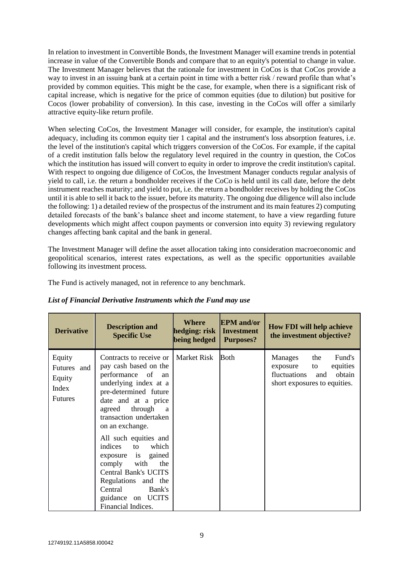In relation to investment in Convertible Bonds, the Investment Manager will examine trends in potential increase in value of the Convertible Bonds and compare that to an equity's potential to change in value. The Investment Manager believes that the rationale for investment in CoCos is that CoCos provide a way to invest in an issuing bank at a certain point in time with a better risk / reward profile than what's provided by common equities. This might be the case, for example, when there is a significant risk of capital increase, which is negative for the price of common equities (due to dilution) but positive for Cocos (lower probability of conversion). In this case, investing in the CoCos will offer a similarly attractive equity-like return profile.

When selecting CoCos, the Investment Manager will consider, for example, the institution's capital adequacy, including its common equity tier 1 capital and the instrument's loss absorption features, i.e. the level of the institution's capital which triggers conversion of the CoCos. For example, if the capital of a credit institution falls below the regulatory level required in the country in question, the CoCos which the institution has issued will convert to equity in order to improve the credit institution's capital. With respect to ongoing due diligence of CoCos, the Investment Manager conducts regular analysis of yield to call, i.e. the return a bondholder receives if the CoCo is held until its call date, before the debt instrument reaches maturity; and yield to put, i.e. the return a bondholder receives by holding the CoCos until it is able to sell it back to the issuer, before its maturity. The ongoing due diligence will also include the following: 1) a detailed review of the prospectus of the instrument and its main features 2) computing detailed forecasts of the bank's balance sheet and income statement, to have a view regarding future developments which might affect coupon payments or conversion into equity 3) reviewing regulatory changes affecting bank capital and the bank in general.

The Investment Manager will define the asset allocation taking into consideration macroeconomic and geopolitical scenarios, interest rates expectations, as well as the specific opportunities available following its investment process.

The Fund is actively managed, not in reference to any benchmark.

| <b>Derivative</b>                                          | <b>Description and</b><br><b>Specific Use</b>                                                                                                                                                                                                                                                                                                                                                                                                    | <b>Where</b><br>hedging: risk<br>being hedged | <b>EPM</b> and/or<br><b>Investment</b><br><b>Purposes?</b> | <b>How FDI will help achieve</b><br>the investment objective?                                                           |
|------------------------------------------------------------|--------------------------------------------------------------------------------------------------------------------------------------------------------------------------------------------------------------------------------------------------------------------------------------------------------------------------------------------------------------------------------------------------------------------------------------------------|-----------------------------------------------|------------------------------------------------------------|-------------------------------------------------------------------------------------------------------------------------|
| Equity<br>Futures and<br>Equity<br>Index<br><b>Futures</b> | Contracts to receive or<br>pay cash based on the<br>performance of<br>an<br>underlying index at a<br>pre-determined future<br>date and at a price<br>through<br>agreed<br>a<br>transaction undertaken<br>on an exchange.<br>All such equities and<br>which<br>indices<br>to<br>exposure is<br>gained<br>comply with<br>the<br><b>Central Bank's UCITS</b><br>Regulations and the<br>Central<br>Bank's<br>guidance on UCITS<br>Financial Indices. | <b>Market Risk</b>                            | <b>Both</b>                                                | Fund's<br>the<br>Manages<br>equities<br>exposure<br>to<br>fluctuations<br>obtain<br>and<br>short exposures to equities. |

*List of Financial Derivative Instruments which the Fund may use*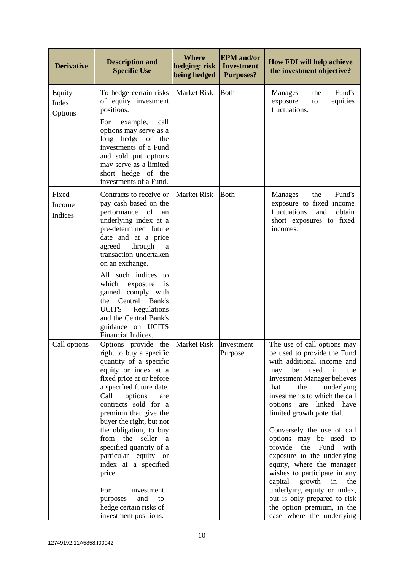| <b>Derivative</b>          | <b>Description and</b><br><b>Specific Use</b>                                                                                                                                                                                                                                                                                                                                                                                                                                                           | <b>Where</b><br>hedging: risk<br>being hedged | <b>EPM</b> and/or<br><b>Investment</b><br><b>Purposes?</b> | <b>How FDI will help achieve</b><br>the investment objective?                                                                                                                                                                                                                                                                                                                                                                                                                                                                                                                                                                        |
|----------------------------|---------------------------------------------------------------------------------------------------------------------------------------------------------------------------------------------------------------------------------------------------------------------------------------------------------------------------------------------------------------------------------------------------------------------------------------------------------------------------------------------------------|-----------------------------------------------|------------------------------------------------------------|--------------------------------------------------------------------------------------------------------------------------------------------------------------------------------------------------------------------------------------------------------------------------------------------------------------------------------------------------------------------------------------------------------------------------------------------------------------------------------------------------------------------------------------------------------------------------------------------------------------------------------------|
| Equity<br>Index<br>Options | To hedge certain risks<br>of equity investment<br>positions.<br>For<br>example,<br>call<br>options may serve as a<br>long hedge of the<br>investments of a Fund<br>and sold put options<br>may serve as a limited<br>short hedge of the<br>investments of a Fund.                                                                                                                                                                                                                                       | <b>Market Risk</b>                            | <b>Both</b>                                                | the<br>Fund's<br><b>Manages</b><br>equities<br>exposure<br>to<br>fluctuations.                                                                                                                                                                                                                                                                                                                                                                                                                                                                                                                                                       |
| Fixed<br>Income<br>Indices | Contracts to receive or<br>pay cash based on the<br>performance<br>of<br>an<br>underlying index at a<br>pre-determined future<br>date and at a price<br>through<br>agreed<br>a<br>transaction undertaken<br>on an exchange.<br>All such indices to<br>which<br>exposure<br>is<br>gained<br>comply with<br>Central<br>Bank's<br>the<br><b>UCITS</b><br>Regulations<br>and the Central Bank's<br>guidance on UCITS<br>Financial Indices.                                                                  | <b>Market Risk</b>                            | <b>Both</b>                                                | the<br>Fund's<br><b>Manages</b><br>exposure to fixed income<br>fluctuations<br>obtain<br>and<br>short exposures to fixed<br>incomes.                                                                                                                                                                                                                                                                                                                                                                                                                                                                                                 |
| Call options               | Options provide<br>the<br>right to buy a specific<br>quantity of a specific<br>equity or index at a<br>fixed price at or before<br>a specified future date.<br>Call<br>options<br>are<br>contracts sold for a<br>premium that give the<br>buyer the right, but not<br>the obligation, to buy<br>from the seller a<br>specified quantity of a<br>particular equity or<br>index at a specified<br>price.<br>For<br>investment<br>and<br>purposes<br>to<br>hedge certain risks of<br>investment positions. | Market Risk                                   | Investment<br>Purpose                                      | The use of call options may<br>be used to provide the Fund<br>with additional income and<br>be<br>used<br>if<br>the<br>may<br><b>Investment Manager believes</b><br>that<br>the<br>underlying<br>investments to which the call<br>options are linked have<br>limited growth potential.<br>Conversely the use of call<br>options may be used to<br>provide<br>the Fund<br>with<br>exposure to the underlying<br>equity, where the manager<br>wishes to participate in any<br>growth<br>capital<br>in<br>the<br>underlying equity or index,<br>but is only prepared to risk<br>the option premium, in the<br>case where the underlying |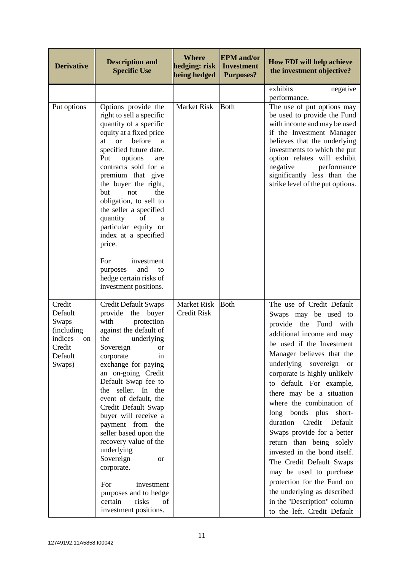| <b>Derivative</b>                                                                        | <b>Description and</b><br><b>Specific Use</b>                                                                                                                                                                                                                                                                                                                                                                                                                                                                                                             | <b>Where</b><br>hedging: risk<br>being hedged | <b>EPM</b> and/or<br><b>Investment</b><br><b>Purposes?</b> | <b>How FDI will help achieve</b><br>the investment objective?                                                                                                                                                                                                                                                                                                                                                                                                                                                                                                                                                                                                         |
|------------------------------------------------------------------------------------------|-----------------------------------------------------------------------------------------------------------------------------------------------------------------------------------------------------------------------------------------------------------------------------------------------------------------------------------------------------------------------------------------------------------------------------------------------------------------------------------------------------------------------------------------------------------|-----------------------------------------------|------------------------------------------------------------|-----------------------------------------------------------------------------------------------------------------------------------------------------------------------------------------------------------------------------------------------------------------------------------------------------------------------------------------------------------------------------------------------------------------------------------------------------------------------------------------------------------------------------------------------------------------------------------------------------------------------------------------------------------------------|
|                                                                                          |                                                                                                                                                                                                                                                                                                                                                                                                                                                                                                                                                           |                                               |                                                            | exhibits<br>negative<br>performance.                                                                                                                                                                                                                                                                                                                                                                                                                                                                                                                                                                                                                                  |
| Put options                                                                              | Options provide the<br>right to sell a specific<br>quantity of a specific<br>equity at a fixed price<br><sub>or</sub><br>before<br>at<br>a<br>specified future date.<br>Put<br>options<br>are<br>contracts sold for a<br>premium that give<br>the buyer the right,<br>the<br>but<br>not<br>obligation, to sell to<br>the seller a specified<br>quantity<br>of<br>a<br>particular equity or<br>index at a specified<br>price.<br>For<br>investment                                                                                                         | <b>Market Risk</b>                            | <b>Both</b>                                                | The use of put options may<br>be used to provide the Fund<br>with income and may be used<br>if the Investment Manager<br>believes that the underlying<br>investments to which the put<br>option relates will exhibit<br>negative<br>performance<br>significantly less than the<br>strike level of the put options.                                                                                                                                                                                                                                                                                                                                                    |
|                                                                                          | and<br>purposes<br>to<br>hedge certain risks of<br>investment positions.                                                                                                                                                                                                                                                                                                                                                                                                                                                                                  |                                               |                                                            |                                                                                                                                                                                                                                                                                                                                                                                                                                                                                                                                                                                                                                                                       |
| Credit<br>Default<br>Swaps<br>(including<br>indices<br>on<br>Credit<br>Default<br>Swaps) | <b>Credit Default Swaps</b><br>provide<br>the<br>buyer<br>with<br>protection<br>against the default of<br>the<br>underlying<br>Sovereign<br>or<br>corporate<br>in<br>exchange for paying<br>an on-going Credit<br>Default Swap fee to<br>the seller. In the<br>event of default, the<br>Credit Default Swap<br>buyer will receive a<br>payment from the<br>seller based upon the<br>recovery value of the<br>underlying<br>Sovereign<br>or<br>corporate.<br>investment<br>For<br>purposes and to hedge<br>certain<br>risks<br>of<br>investment positions. | <b>Market Risk</b><br><b>Credit Risk</b>      | <b>Both</b>                                                | The use of Credit Default<br>Swaps may be used to<br>provide<br>the Fund with<br>additional income and may<br>be used if the Investment<br>Manager believes that the<br>underlying sovereign<br><sub>or</sub><br>corporate is highly unlikely<br>to default. For example,<br>there may be a situation<br>where the combination of<br>long bonds plus short-<br>duration Credit<br>Default<br>Swaps provide for a better<br>return than being solely<br>invested in the bond itself.<br>The Credit Default Swaps<br>may be used to purchase<br>protection for the Fund on<br>the underlying as described<br>in the "Description" column<br>to the left. Credit Default |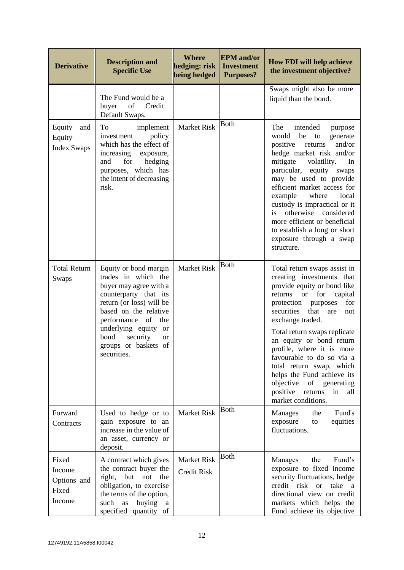| <b>Derivative</b>                                 | <b>Description and</b><br><b>Specific Use</b>                                                                                                                                                                                                                                 | <b>Where</b><br>hedging: risk<br>being hedged | <b>EPM</b> and/or<br><b>Investment</b><br><b>Purposes?</b> | <b>How FDI will help achieve</b><br>the investment objective?                                                                                                                                                                                                                                                                                                                                                                                                                       |
|---------------------------------------------------|-------------------------------------------------------------------------------------------------------------------------------------------------------------------------------------------------------------------------------------------------------------------------------|-----------------------------------------------|------------------------------------------------------------|-------------------------------------------------------------------------------------------------------------------------------------------------------------------------------------------------------------------------------------------------------------------------------------------------------------------------------------------------------------------------------------------------------------------------------------------------------------------------------------|
|                                                   | The Fund would be a<br>buyer<br>Credit<br>of<br>Default Swaps.                                                                                                                                                                                                                |                                               |                                                            | Swaps might also be more<br>liquid than the bond.                                                                                                                                                                                                                                                                                                                                                                                                                                   |
| Equity<br>and<br>Equity<br><b>Index Swaps</b>     | implement<br>To<br>policy<br>investment<br>which has the effect of<br>increasing<br>exposure,<br>for<br>hedging<br>and<br>purposes, which has<br>the intent of decreasing<br>risk.                                                                                            | <b>Market Risk</b>                            | <b>Both</b>                                                | The<br>intended<br>purpose<br>would be to<br>generate<br>positive<br>and/or<br>returns<br>hedge market risk and/or<br>mitigate<br>volatility.<br>In<br>particular,<br>equity swaps<br>may be used to provide<br>efficient market access for<br>example<br>where<br>local<br>custody is impractical or it<br>otherwise considered<br>is<br>more efficient or beneficial<br>to establish a long or short<br>exposure through a swap<br>structure.                                     |
| <b>Total Return</b><br>Swaps                      | Equity or bond margin<br>trades in which the<br>buyer may agree with a<br>counterparty that its<br>return (or loss) will be<br>based on the relative<br>performance of<br>the<br>underlying equity or<br>bond<br>security<br><b>or</b><br>groups or baskets of<br>securities. | <b>Market Risk</b>                            | <b>Both</b>                                                | Total return swaps assist in<br>creating investments that<br>provide equity or bond like<br>or for<br>returns<br>capital<br>protection<br>for<br>purposes<br>securities<br>that<br>are<br>not<br>exchange traded.<br>Total return swaps replicate<br>an equity or bond return<br>profile, where it is more<br>favourable to do so via a<br>total return swap, which<br>helps the Fund achieve its<br>objective of generating<br>positive returns<br>in<br>all<br>market conditions. |
| Forward<br>Contracts                              | Used to hedge or to<br>gain exposure to an<br>increase in the value of<br>an asset, currency or<br>deposit.                                                                                                                                                                   | <b>Market Risk</b>                            | Both                                                       | Fund's<br>Manages<br>the<br>equities<br>exposure<br>to<br>fluctuations.                                                                                                                                                                                                                                                                                                                                                                                                             |
| Fixed<br>Income<br>Options and<br>Fixed<br>Income | A contract which gives<br>the contract buyer the<br>right,<br>but<br>not<br>the<br>obligation, to exercise<br>the terms of the option,<br>as<br>buying<br>such<br>a<br>specified quantity of                                                                                  | <b>Market Risk</b><br><b>Credit Risk</b>      | <b>Both</b>                                                | Fund's<br>Manages<br>the<br>exposure to fixed income<br>security fluctuations, hedge<br>credit risk or<br>take a<br>directional view on credit<br>markets which helps the<br>Fund achieve its objective                                                                                                                                                                                                                                                                             |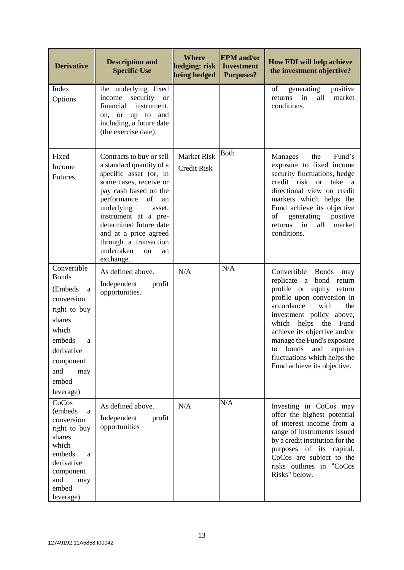| <b>Derivative</b>                                                                                                                                                           | <b>Description and</b><br><b>Specific Use</b>                                                                                                                                                                                                                                                                                   | <b>Where</b><br>hedging: risk<br>being hedged | <b>EPM</b> and/or<br><b>Investment</b><br><b>Purposes?</b> | <b>How FDI will help achieve</b><br>the investment objective?                                                                                                                                                                                                                                                                                                        |
|-----------------------------------------------------------------------------------------------------------------------------------------------------------------------------|---------------------------------------------------------------------------------------------------------------------------------------------------------------------------------------------------------------------------------------------------------------------------------------------------------------------------------|-----------------------------------------------|------------------------------------------------------------|----------------------------------------------------------------------------------------------------------------------------------------------------------------------------------------------------------------------------------------------------------------------------------------------------------------------------------------------------------------------|
| Index<br>Options                                                                                                                                                            | the underlying fixed<br>security<br>income<br><b>or</b><br>instrument,<br>financial<br>up to and<br>on,<br><b>or</b><br>including, a future date<br>(the exercise date).                                                                                                                                                        |                                               |                                                            | of<br>generating<br>positive<br>all<br>market<br>returns<br>in<br>conditions.                                                                                                                                                                                                                                                                                        |
| Fixed<br>Income<br><b>Futures</b>                                                                                                                                           | Contracts to buy or sell<br>a standard quantity of a<br>specific asset (or, in<br>some cases, receive or<br>pay cash based on the<br>performance<br>of<br>an<br>underlying<br>asset,<br>instrument at a pre-<br>determined future date<br>and at a price agreed<br>through a transaction<br>undertaken<br>on<br>an<br>exchange. | <b>Market Risk</b><br><b>Credit Risk</b>      | <b>Both</b>                                                | the<br>Fund's<br>Manages<br>exposure to fixed income<br>security fluctuations, hedge<br>credit risk or<br>take<br><sub>a</sub><br>directional view on credit<br>markets which helps the<br>Fund achieve its objective<br>generating<br>positive<br>of<br>in<br>returns<br>all<br>market<br>conditions.                                                               |
| Convertible<br><b>Bonds</b><br>(Embeds)<br>a<br>conversion<br>right to buy<br>shares<br>which<br>embeds<br>a<br>derivative<br>component<br>and<br>may<br>embed<br>leverage) | As defined above.<br>Independent<br>profit<br>opportunities.                                                                                                                                                                                                                                                                    | N/A                                           | N/A                                                        | Convertible<br><b>Bonds</b><br>may<br>replicate a bond<br>return<br>profile or equity return<br>profile upon conversion in<br>accordance<br>with<br>the<br>investment policy above,<br>which helps the<br>Fund<br>achieve its objective and/or<br>manage the Fund's exposure<br>to bonds and equities<br>fluctuations which helps the<br>Fund achieve its objective. |
| CoCos<br>(embeds<br>a<br>conversion<br>right to buy<br>shares<br>which<br>embeds<br>a<br>derivative<br>component<br>and<br>may<br>embed<br>leverage)                        | As defined above.<br>Independent<br>profit<br>opportunities                                                                                                                                                                                                                                                                     | N/A                                           | N/A                                                        | Investing in CoCos may<br>offer the highest potential<br>of interest income from a<br>range of instruments issued<br>by a credit institution for the<br>purposes of its capital.<br>CoCos are subject to the<br>risks outlines in "CoCos<br>Risks" below.                                                                                                            |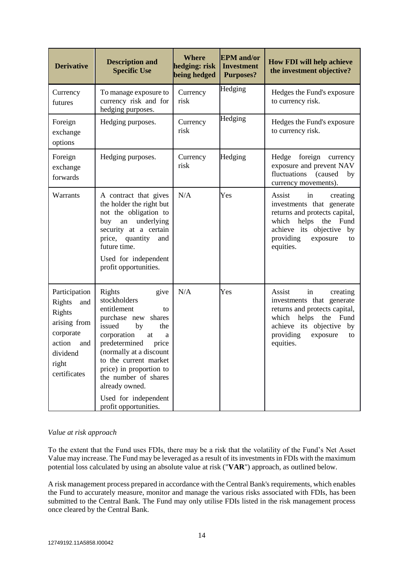| <b>Derivative</b>                                                                                                           | <b>Description and</b><br><b>Specific Use</b>                                                                                                                                                                                                                                                                                      | <b>Where</b><br>hedging: risk<br>being hedged | <b>EPM</b> and/or<br><b>Investment</b><br><b>Purposes?</b> | <b>How FDI will help achieve</b><br>the investment objective?                                                                                                                                      |
|-----------------------------------------------------------------------------------------------------------------------------|------------------------------------------------------------------------------------------------------------------------------------------------------------------------------------------------------------------------------------------------------------------------------------------------------------------------------------|-----------------------------------------------|------------------------------------------------------------|----------------------------------------------------------------------------------------------------------------------------------------------------------------------------------------------------|
| Currency<br>futures                                                                                                         | To manage exposure to<br>currency risk and for<br>hedging purposes.                                                                                                                                                                                                                                                                | Currency<br>risk                              | Hedging                                                    | Hedges the Fund's exposure<br>to currency risk.                                                                                                                                                    |
| Foreign<br>exchange<br>options                                                                                              | Hedging purposes.                                                                                                                                                                                                                                                                                                                  | Currency<br>risk                              | Hedging                                                    | Hedges the Fund's exposure<br>to currency risk.                                                                                                                                                    |
| Foreign<br>exchange<br>forwards                                                                                             | Hedging purposes.                                                                                                                                                                                                                                                                                                                  | Currency<br>risk                              | Hedging                                                    | Hedge<br>foreign<br>currency<br>exposure and prevent NAV<br>fluctuations<br>(caused<br>by<br>currency movements).                                                                                  |
| Warrants                                                                                                                    | A contract that gives<br>the holder the right but<br>not the obligation to<br>an underlying<br>buy<br>security at a certain<br>price, quantity<br>and<br>future time.<br>Used for independent<br>profit opportunities.                                                                                                             | N/A                                           | Yes                                                        | Assist<br>in<br>creating<br>investments that generate<br>returns and protects capital,<br>which helps the Fund<br>achieve its objective by<br>providing<br>exposure<br>to<br>equities.             |
| Participation<br>Rights<br>and<br>Rights<br>arising from<br>corporate<br>action<br>and<br>dividend<br>right<br>certificates | Rights<br>give<br>stockholders<br>entitlement<br>to<br>purchase new<br>shares<br>issued<br>by<br>the<br>corporation<br>at<br>a<br>predetermined<br>price<br>(normally at a discount<br>to the current market<br>price) in proportion to<br>the number of shares<br>already owned.<br>Used for independent<br>profit opportunities. | N/A                                           | Yes                                                        | Assist<br>in<br>creating<br>investments that generate<br>returns and protects capital,<br>which<br>helps<br>the<br>Fund<br>achieve its objective<br>by<br>providing<br>exposure<br>to<br>equities. |

## *Value at risk approach*

To the extent that the Fund uses FDIs, there may be a risk that the volatility of the Fund's Net Asset Value may increase. The Fund may be leveraged as a result of its investments in FDIs with the maximum potential loss calculated by using an absolute value at risk ("**VAR**") approach, as outlined below.

A risk management process prepared in accordance with the Central Bank's requirements, which enables the Fund to accurately measure, monitor and manage the various risks associated with FDIs, has been submitted to the Central Bank. The Fund may only utilise FDIs listed in the risk management process once cleared by the Central Bank.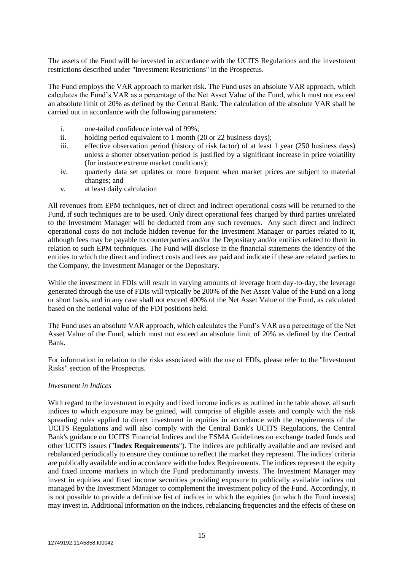The assets of the Fund will be invested in accordance with the UCITS Regulations and the investment restrictions described under "Investment Restrictions" in the Prospectus.

The Fund employs the VAR approach to market risk. The Fund uses an absolute VAR approach, which calculates the Fund's VAR as a percentage of the Net Asset Value of the Fund, which must not exceed an absolute limit of 20% as defined by the Central Bank. The calculation of the absolute VAR shall be carried out in accordance with the following parameters:

- i. one-tailed confidence interval of 99%;
- ii. holding period equivalent to 1 month (20 or 22 business days);
- iii. effective observation period (history of risk factor) of at least 1 year (250 business days) unless a shorter observation period is justified by a significant increase in price volatility (for instance extreme market conditions);
- iv. quarterly data set updates or more frequent when market prices are subject to material changes; and
- v. at least daily calculation

All revenues from EPM techniques, net of direct and indirect operational costs will be returned to the Fund, if such techniques are to be used. Only direct operational fees charged by third parties unrelated to the Investment Manager will be deducted from any such revenues. Any such direct and indirect operational costs do not include hidden revenue for the Investment Manager or parties related to it, although fees may be payable to counterparties and/or the Depositary and/or entities related to them in relation to such EPM techniques. The Fund will disclose in the financial statements the identity of the entities to which the direct and indirect costs and fees are paid and indicate if these are related parties to the Company, the Investment Manager or the Depositary.

While the investment in FDIs will result in varying amounts of leverage from day-to-day, the leverage generated through the use of FDIs will typically be 200% of the Net Asset Value of the Fund on a long or short basis, and in any case shall not exceed 400% of the Net Asset Value of the Fund, as calculated based on the notional value of the FDI positions held.

The Fund uses an absolute VAR approach, which calculates the Fund's VAR as a percentage of the Net Asset Value of the Fund, which must not exceed an absolute limit of 20% as defined by the Central Bank.

For information in relation to the risks associated with the use of FDIs, please refer to the "Investment Risks" section of the Prospectus.

#### *Investment in Indices*

With regard to the investment in equity and fixed income indices as outlined in the table above, all such indices to which exposure may be gained, will comprise of eligible assets and comply with the risk spreading rules applied to direct investment in equities in accordance with the requirements of the UCITS Regulations and will also comply with the Central Bank's UCITS Regulations, the Central Bank's guidance on UCITS Financial Indices and the ESMA Guidelines on exchange traded funds and other UCITS issues ("**Index Requirements**"). The indices are publically available and are revised and rebalanced periodically to ensure they continue to reflect the market they represent. The indices' criteria are publically available and in accordance with the Index Requirements. The indices represent the equity and fixed income markets in which the Fund predominantly invests. The Investment Manager may invest in equities and fixed income securities providing exposure to publically available indices not managed by the Investment Manager to complement the investment policy of the Fund. Accordingly, it is not possible to provide a definitive list of indices in which the equities (in which the Fund invests) may invest in. Additional information on the indices, rebalancing frequencies and the effects of these on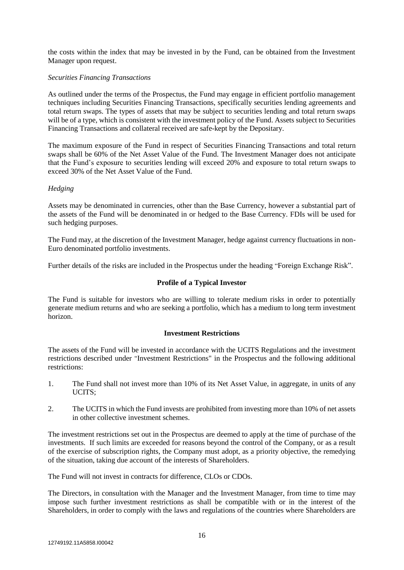the costs within the index that may be invested in by the Fund, can be obtained from the Investment Manager upon request.

### *Securities Financing Transactions*

As outlined under the terms of the Prospectus, the Fund may engage in efficient portfolio management techniques including Securities Financing Transactions, specifically securities lending agreements and total return swaps. The types of assets that may be subject to securities lending and total return swaps will be of a type, which is consistent with the investment policy of the Fund. Assets subject to Securities Financing Transactions and collateral received are safe-kept by the Depositary.

The maximum exposure of the Fund in respect of Securities Financing Transactions and total return swaps shall be 60% of the Net Asset Value of the Fund. The Investment Manager does not anticipate that the Fund's exposure to securities lending will exceed 20% and exposure to total return swaps to exceed 30% of the Net Asset Value of the Fund.

#### *Hedging*

Assets may be denominated in currencies, other than the Base Currency, however a substantial part of the assets of the Fund will be denominated in or hedged to the Base Currency. FDIs will be used for such hedging purposes.

The Fund may, at the discretion of the Investment Manager, hedge against currency fluctuations in non-Euro denominated portfolio investments.

Further details of the risks are included in the Prospectus under the heading "Foreign Exchange Risk".

### **Profile of a Typical Investor**

The Fund is suitable for investors who are willing to tolerate medium risks in order to potentially generate medium returns and who are seeking a portfolio, which has a medium to long term investment horizon.

#### **Investment Restrictions**

The assets of the Fund will be invested in accordance with the UCITS Regulations and the investment restrictions described under "Investment Restrictions" in the Prospectus and the following additional restrictions:

- 1. The Fund shall not invest more than 10% of its Net Asset Value, in aggregate, in units of any UCITS;
- 2. The UCITS in which the Fund invests are prohibited from investing more than 10% of net assets in other collective investment schemes.

The investment restrictions set out in the Prospectus are deemed to apply at the time of purchase of the investments. If such limits are exceeded for reasons beyond the control of the Company, or as a result of the exercise of subscription rights, the Company must adopt, as a priority objective, the remedying of the situation, taking due account of the interests of Shareholders.

The Fund will not invest in contracts for difference, CLOs or CDOs.

The Directors, in consultation with the Manager and the Investment Manager, from time to time may impose such further investment restrictions as shall be compatible with or in the interest of the Shareholders, in order to comply with the laws and regulations of the countries where Shareholders are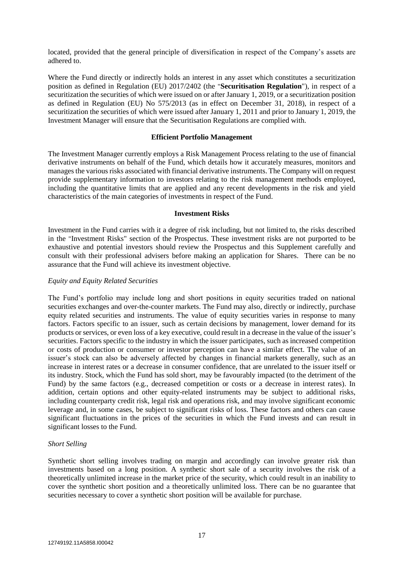located, provided that the general principle of diversification in respect of the Company's assets are adhered to.

Where the Fund directly or indirectly holds an interest in any asset which constitutes a securitization position as defined in Regulation (EU) 2017/2402 (the "**Securitisation Regulation**"), in respect of a securitization the securities of which were issued on or after January 1, 2019, or a securitization position as defined in Regulation (EU) No 575/2013 (as in effect on December 31, 2018), in respect of a securitization the securities of which were issued after January 1, 2011 and prior to January 1, 2019, the Investment Manager will ensure that the Securitisation Regulations are complied with.

#### **Efficient Portfolio Management**

The Investment Manager currently employs a Risk Management Process relating to the use of financial derivative instruments on behalf of the Fund, which details how it accurately measures, monitors and manages the various risks associated with financial derivative instruments. The Company will on request provide supplementary information to investors relating to the risk management methods employed, including the quantitative limits that are applied and any recent developments in the risk and yield characteristics of the main categories of investments in respect of the Fund.

#### **Investment Risks**

Investment in the Fund carries with it a degree of risk including, but not limited to, the risks described in the "Investment Risks" section of the Prospectus. These investment risks are not purported to be exhaustive and potential investors should review the Prospectus and this Supplement carefully and consult with their professional advisers before making an application for Shares. There can be no assurance that the Fund will achieve its investment objective.

#### *Equity and Equity Related Securities*

The Fund's portfolio may include long and short positions in equity securities traded on national securities exchanges and over-the-counter markets. The Fund may also, directly or indirectly, purchase equity related securities and instruments. The value of equity securities varies in response to many factors. Factors specific to an issuer, such as certain decisions by management, lower demand for its products or services, or even loss of a key executive, could result in a decrease in the value of the issuer's securities. Factors specific to the industry in which the issuer participates, such as increased competition or costs of production or consumer or investor perception can have a similar effect. The value of an issuer's stock can also be adversely affected by changes in financial markets generally, such as an increase in interest rates or a decrease in consumer confidence, that are unrelated to the issuer itself or its industry. Stock, which the Fund has sold short, may be favourably impacted (to the detriment of the Fund) by the same factors (e.g., decreased competition or costs or a decrease in interest rates). In addition, certain options and other equity-related instruments may be subject to additional risks, including counterparty credit risk, legal risk and operations risk, and may involve significant economic leverage and, in some cases, be subject to significant risks of loss. These factors and others can cause significant fluctuations in the prices of the securities in which the Fund invests and can result in significant losses to the Fund.

#### *Short Selling*

Synthetic short selling involves trading on margin and accordingly can involve greater risk than investments based on a long position. A synthetic short sale of a security involves the risk of a theoretically unlimited increase in the market price of the security, which could result in an inability to cover the synthetic short position and a theoretically unlimited loss. There can be no guarantee that securities necessary to cover a synthetic short position will be available for purchase.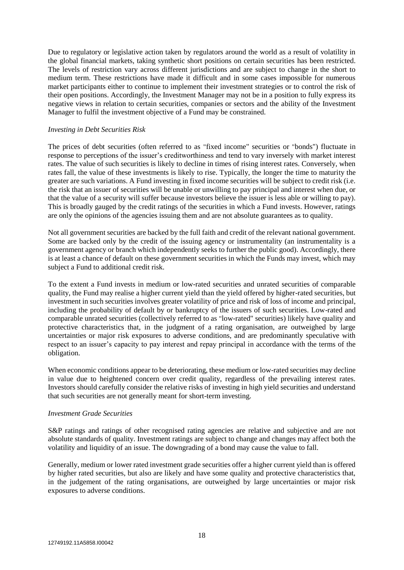Due to regulatory or legislative action taken by regulators around the world as a result of volatility in the global financial markets, taking synthetic short positions on certain securities has been restricted. The levels of restriction vary across different jurisdictions and are subject to change in the short to medium term. These restrictions have made it difficult and in some cases impossible for numerous market participants either to continue to implement their investment strategies or to control the risk of their open positions. Accordingly, the Investment Manager may not be in a position to fully express its negative views in relation to certain securities, companies or sectors and the ability of the Investment Manager to fulfil the investment objective of a Fund may be constrained.

#### *Investing in Debt Securities Risk*

The prices of debt securities (often referred to as "fixed income" securities or "bonds") fluctuate in response to perceptions of the issuer's creditworthiness and tend to vary inversely with market interest rates. The value of such securities is likely to decline in times of rising interest rates. Conversely, when rates fall, the value of these investments is likely to rise. Typically, the longer the time to maturity the greater are such variations. A Fund investing in fixed income securities will be subject to credit risk (i.e. the risk that an issuer of securities will be unable or unwilling to pay principal and interest when due, or that the value of a security will suffer because investors believe the issuer is less able or willing to pay). This is broadly gauged by the credit ratings of the securities in which a Fund invests. However, ratings are only the opinions of the agencies issuing them and are not absolute guarantees as to quality.

Not all government securities are backed by the full faith and credit of the relevant national government. Some are backed only by the credit of the issuing agency or instrumentality (an instrumentality is a government agency or branch which independently seeks to further the public good). Accordingly, there is at least a chance of default on these government securities in which the Funds may invest, which may subject a Fund to additional credit risk.

To the extent a Fund invests in medium or low-rated securities and unrated securities of comparable quality, the Fund may realise a higher current yield than the yield offered by higher-rated securities, but investment in such securities involves greater volatility of price and risk of loss of income and principal, including the probability of default by or bankruptcy of the issuers of such securities. Low-rated and comparable unrated securities (collectively referred to as "low-rated" securities) likely have quality and protective characteristics that, in the judgment of a rating organisation, are outweighed by large uncertainties or major risk exposures to adverse conditions, and are predominantly speculative with respect to an issuer's capacity to pay interest and repay principal in accordance with the terms of the obligation.

When economic conditions appear to be deteriorating, these medium or low-rated securities may decline in value due to heightened concern over credit quality, regardless of the prevailing interest rates. Investors should carefully consider the relative risks of investing in high yield securities and understand that such securities are not generally meant for short-term investing.

#### *Investment Grade Securities*

S&P ratings and ratings of other recognised rating agencies are relative and subjective and are not absolute standards of quality. Investment ratings are subject to change and changes may affect both the volatility and liquidity of an issue. The downgrading of a bond may cause the value to fall.

Generally, medium or lower rated investment grade securities offer a higher current yield than is offered by higher rated securities, but also are likely and have some quality and protective characteristics that, in the judgement of the rating organisations, are outweighed by large uncertainties or major risk exposures to adverse conditions.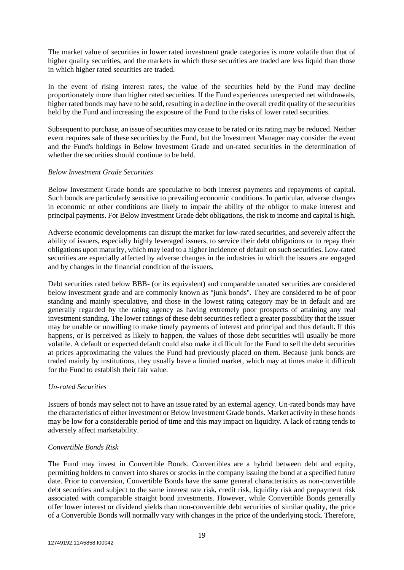The market value of securities in lower rated investment grade categories is more volatile than that of higher quality securities, and the markets in which these securities are traded are less liquid than those in which higher rated securities are traded.

In the event of rising interest rates, the value of the securities held by the Fund may decline proportionately more than higher rated securities. If the Fund experiences unexpected net withdrawals, higher rated bonds may have to be sold, resulting in a decline in the overall credit quality of the securities held by the Fund and increasing the exposure of the Fund to the risks of lower rated securities.

Subsequent to purchase, an issue of securities may cease to be rated or its rating may be reduced. Neither event requires sale of these securities by the Fund, but the Investment Manager may consider the event and the Fund's holdings in Below Investment Grade and un-rated securities in the determination of whether the securities should continue to be held.

#### *Below Investment Grade Securities*

Below Investment Grade bonds are speculative to both interest payments and repayments of capital. Such bonds are particularly sensitive to prevailing economic conditions. In particular, adverse changes in economic or other conditions are likely to impair the ability of the obligor to make interest and principal payments. For Below Investment Grade debt obligations, the risk to income and capital is high.

Adverse economic developments can disrupt the market for low-rated securities, and severely affect the ability of issuers, especially highly leveraged issuers, to service their debt obligations or to repay their obligations upon maturity, which may lead to a higher incidence of default on such securities. Low-rated securities are especially affected by adverse changes in the industries in which the issuers are engaged and by changes in the financial condition of the issuers.

Debt securities rated below BBB- (or its equivalent) and comparable unrated securities are considered below investment grade and are commonly known as "junk bonds". They are considered to be of poor standing and mainly speculative, and those in the lowest rating category may be in default and are generally regarded by the rating agency as having extremely poor prospects of attaining any real investment standing. The lower ratings of these debt securities reflect a greater possibility that the issuer may be unable or unwilling to make timely payments of interest and principal and thus default. If this happens, or is perceived as likely to happen, the values of those debt securities will usually be more volatile. A default or expected default could also make it difficult for the Fund to sell the debt securities at prices approximating the values the Fund had previously placed on them. Because junk bonds are traded mainly by institutions, they usually have a limited market, which may at times make it difficult for the Fund to establish their fair value.

#### *Un-rated Securities*

Issuers of bonds may select not to have an issue rated by an external agency. Un-rated bonds may have the characteristics of either investment or Below Investment Grade bonds. Market activity in these bonds may be low for a considerable period of time and this may impact on liquidity. A lack of rating tends to adversely affect marketability.

#### *Convertible Bonds Risk*

The Fund may invest in Convertible Bonds. Convertibles are a hybrid between debt and equity, permitting holders to convert into shares or stocks in the company issuing the bond at a specified future date. Prior to conversion, Convertible Bonds have the same general characteristics as non-convertible debt securities and subject to the same interest rate risk, credit risk, liquidity risk and prepayment risk associated with comparable straight bond investments. However, while Convertible Bonds generally offer lower interest or dividend yields than non-convertible debt securities of similar quality, the price of a Convertible Bonds will normally vary with changes in the price of the underlying stock. Therefore,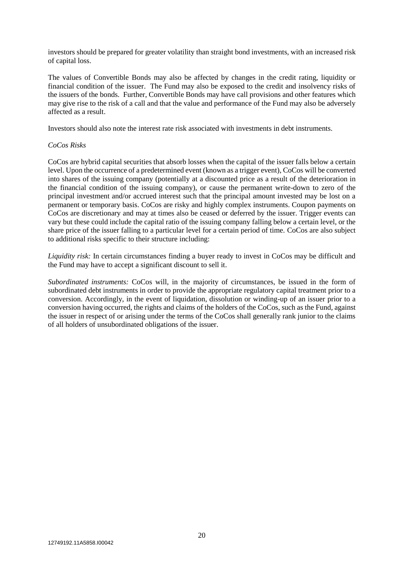investors should be prepared for greater volatility than straight bond investments, with an increased risk of capital loss.

The values of Convertible Bonds may also be affected by changes in the credit rating, liquidity or financial condition of the issuer. The Fund may also be exposed to the credit and insolvency risks of the issuers of the bonds. Further, Convertible Bonds may have call provisions and other features which may give rise to the risk of a call and that the value and performance of the Fund may also be adversely affected as a result.

Investors should also note the interest rate risk associated with investments in debt instruments.

### *CoCos Risks*

CoCos are hybrid capital securities that absorb losses when the capital of the issuer falls below a certain level. Upon the occurrence of a predetermined event (known as a trigger event), CoCos will be converted into shares of the issuing company (potentially at a discounted price as a result of the deterioration in the financial condition of the issuing company), or cause the permanent write-down to zero of the principal investment and/or accrued interest such that the principal amount invested may be lost on a permanent or temporary basis. CoCos are risky and highly complex instruments. Coupon payments on CoCos are discretionary and may at times also be ceased or deferred by the issuer. Trigger events can vary but these could include the capital ratio of the issuing company falling below a certain level, or the share price of the issuer falling to a particular level for a certain period of time. CoCos are also subject to additional risks specific to their structure including:

*Liquidity risk:* In certain circumstances finding a buyer ready to invest in CoCos may be difficult and the Fund may have to accept a significant discount to sell it.

*Subordinated instruments:* CoCos will, in the majority of circumstances, be issued in the form of subordinated debt instruments in order to provide the appropriate regulatory capital treatment prior to a conversion. Accordingly, in the event of liquidation, dissolution or winding-up of an issuer prior to a conversion having occurred, the rights and claims of the holders of the CoCos, such as the Fund, against the issuer in respect of or arising under the terms of the CoCos shall generally rank junior to the claims of all holders of unsubordinated obligations of the issuer.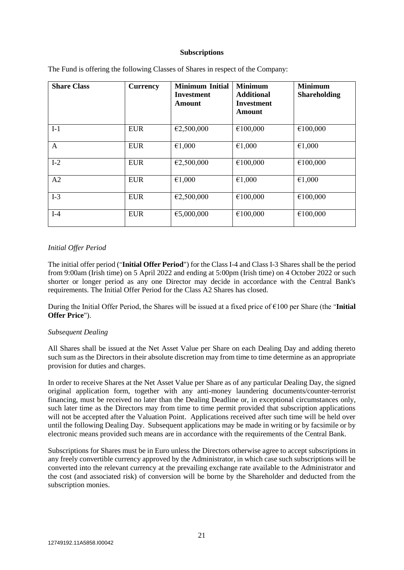#### **Subscriptions**

| <b>Share Class</b> | <b>Currency</b> | <b>Minimum Initial</b><br><b>Investment</b><br>Amount | <b>Minimum</b><br><b>Additional</b><br>Investment<br><b>Amount</b> | <b>Minimum</b><br><b>Shareholding</b> |
|--------------------|-----------------|-------------------------------------------------------|--------------------------------------------------------------------|---------------------------------------|
| $I-1$              | <b>EUR</b>      | €2,500,000                                            | €100,000                                                           | €100,000                              |
| A                  | <b>EUR</b>      | €1,000                                                | €1,000                                                             | €1,000                                |
| $I-2$              | <b>EUR</b>      | €2,500,000                                            | €100,000                                                           | €100,000                              |
| A2                 | <b>EUR</b>      | €1,000                                                | €1,000                                                             | €1,000                                |
| $I-3$              | <b>EUR</b>      | €2,500,000                                            | €100,000                                                           | €100,000                              |
| $I-4$              | <b>EUR</b>      | €5,000,000                                            | €100,000                                                           | €100,000                              |

The Fund is offering the following Classes of Shares in respect of the Company:

#### *Initial Offer Period*

The initial offer period ("**Initial Offer Period**") for the Class I-4 and Class I-3 Shares shall be the period from 9:00am (Irish time) on 5 April 2022 and ending at 5:00pm (Irish time) on 4 October 2022 or such shorter or longer period as any one Director may decide in accordance with the Central Bank's requirements. The Initial Offer Period for the Class A2 Shares has closed.

During the Initial Offer Period, the Shares will be issued at a fixed price of €100 per Share (the "**Initial Offer Price**").

#### *Subsequent Dealing*

All Shares shall be issued at the Net Asset Value per Share on each Dealing Day and adding thereto such sum as the Directors in their absolute discretion may from time to time determine as an appropriate provision for duties and charges.

In order to receive Shares at the Net Asset Value per Share as of any particular Dealing Day, the signed original application form, together with any anti-money laundering documents/counter-terrorist financing, must be received no later than the Dealing Deadline or, in exceptional circumstances only, such later time as the Directors may from time to time permit provided that subscription applications will not be accepted after the Valuation Point. Applications received after such time will be held over until the following Dealing Day. Subsequent applications may be made in writing or by facsimile or by electronic means provided such means are in accordance with the requirements of the Central Bank.

Subscriptions for Shares must be in Euro unless the Directors otherwise agree to accept subscriptions in any freely convertible currency approved by the Administrator, in which case such subscriptions will be converted into the relevant currency at the prevailing exchange rate available to the Administrator and the cost (and associated risk) of conversion will be borne by the Shareholder and deducted from the subscription monies.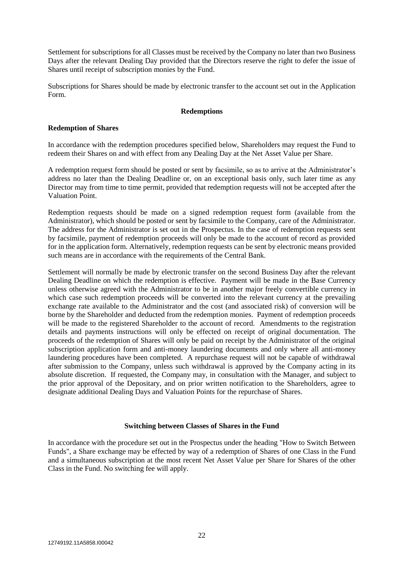Settlement for subscriptions for all Classes must be received by the Company no later than two Business Days after the relevant Dealing Day provided that the Directors reserve the right to defer the issue of Shares until receipt of subscription monies by the Fund.

Subscriptions for Shares should be made by electronic transfer to the account set out in the Application Form.

#### **Redemptions**

#### **Redemption of Shares**

In accordance with the redemption procedures specified below, Shareholders may request the Fund to redeem their Shares on and with effect from any Dealing Day at the Net Asset Value per Share.

A redemption request form should be posted or sent by facsimile, so as to arrive at the Administrator's address no later than the Dealing Deadline or, on an exceptional basis only, such later time as any Director may from time to time permit, provided that redemption requests will not be accepted after the Valuation Point.

Redemption requests should be made on a signed redemption request form (available from the Administrator), which should be posted or sent by facsimile to the Company, care of the Administrator. The address for the Administrator is set out in the Prospectus. In the case of redemption requests sent by facsimile, payment of redemption proceeds will only be made to the account of record as provided for in the application form. Alternatively, redemption requests can be sent by electronic means provided such means are in accordance with the requirements of the Central Bank.

Settlement will normally be made by electronic transfer on the second Business Day after the relevant Dealing Deadline on which the redemption is effective. Payment will be made in the Base Currency unless otherwise agreed with the Administrator to be in another major freely convertible currency in which case such redemption proceeds will be converted into the relevant currency at the prevailing exchange rate available to the Administrator and the cost (and associated risk) of conversion will be borne by the Shareholder and deducted from the redemption monies. Payment of redemption proceeds will be made to the registered Shareholder to the account of record. Amendments to the registration details and payments instructions will only be effected on receipt of original documentation. The proceeds of the redemption of Shares will only be paid on receipt by the Administrator of the original subscription application form and anti-money laundering documents and only where all anti-money laundering procedures have been completed. A repurchase request will not be capable of withdrawal after submission to the Company, unless such withdrawal is approved by the Company acting in its absolute discretion. If requested, the Company may, in consultation with the Manager, and subject to the prior approval of the Depositary, and on prior written notification to the Shareholders, agree to designate additional Dealing Days and Valuation Points for the repurchase of Shares.

#### **Switching between Classes of Shares in the Fund**

In accordance with the procedure set out in the Prospectus under the heading "How to Switch Between Funds", a Share exchange may be effected by way of a redemption of Shares of one Class in the Fund and a simultaneous subscription at the most recent Net Asset Value per Share for Shares of the other Class in the Fund. No switching fee will apply.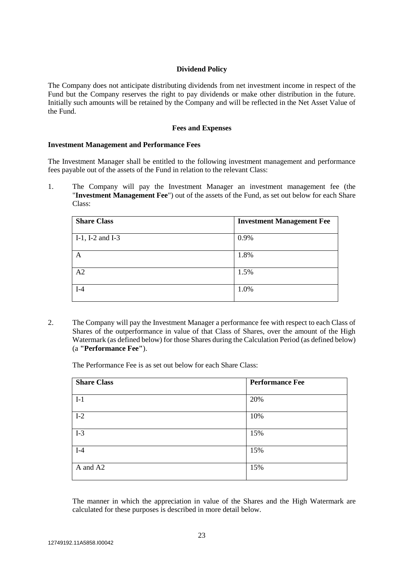#### **Dividend Policy**

The Company does not anticipate distributing dividends from net investment income in respect of the Fund but the Company reserves the right to pay dividends or make other distribution in the future. Initially such amounts will be retained by the Company and will be reflected in the Net Asset Value of the Fund.

#### **Fees and Expenses**

#### **Investment Management and Performance Fees**

The Investment Manager shall be entitled to the following investment management and performance fees payable out of the assets of the Fund in relation to the relevant Class:

1. The Company will pay the Investment Manager an investment management fee (the "Investment Management Fee") out of the assets of the Fund, as set out below for each Share Class:

| <b>Share Class</b>  | <b>Investment Management Fee</b> |
|---------------------|----------------------------------|
| $I-1$ , I-2 and I-3 | 0.9%                             |
| Α                   | 1.8%                             |
| A2                  | 1.5%                             |
| $I-4$               | 1.0%                             |

2. The Company will pay the Investment Manager a performance fee with respect to each Class of Shares of the outperformance in value of that Class of Shares, over the amount of the High Watermark (as defined below) for those Shares during the Calculation Period (as defined below) (a **"Performance Fee"**).

The Performance Fee is as set out below for each Share Class:

| <b>Share Class</b> | <b>Performance Fee</b> |  |
|--------------------|------------------------|--|
| $I-1$              | 20%                    |  |
| $I-2$              | 10%                    |  |
| $I-3$              | 15%                    |  |
| $I-4$              | 15%                    |  |
| A and A2           | 15%                    |  |

The manner in which the appreciation in value of the Shares and the High Watermark are calculated for these purposes is described in more detail below.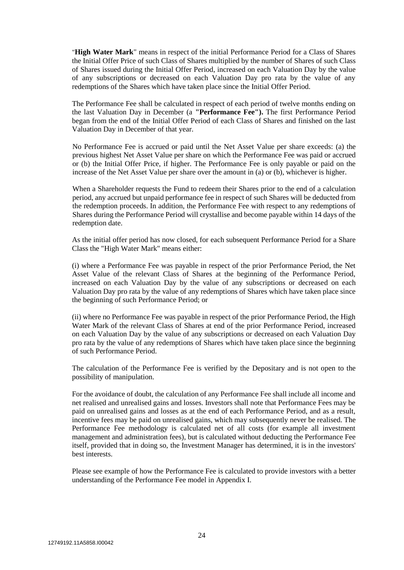"**High Water Mark**" means in respect of the initial Performance Period for a Class of Shares the Initial Offer Price of such Class of Shares multiplied by the number of Shares of such Class of Shares issued during the Initial Offer Period, increased on each Valuation Day by the value of any subscriptions or decreased on each Valuation Day pro rata by the value of any redemptions of the Shares which have taken place since the Initial Offer Period.

The Performance Fee shall be calculated in respect of each period of twelve months ending on the last Valuation Day in December (a **"Performance Fee").** The first Performance Period began from the end of the Initial Offer Period of each Class of Shares and finished on the last Valuation Day in December of that year.

No Performance Fee is accrued or paid until the Net Asset Value per share exceeds: (a) the previous highest Net Asset Value per share on which the Performance Fee was paid or accrued or (b) the Initial Offer Price, if higher. The Performance Fee is only payable or paid on the increase of the Net Asset Value per share over the amount in (a) or (b), whichever is higher.

When a Shareholder requests the Fund to redeem their Shares prior to the end of a calculation period, any accrued but unpaid performance fee in respect of such Shares will be deducted from the redemption proceeds. In addition, the Performance Fee with respect to any redemptions of Shares during the Performance Period will crystallise and become payable within 14 days of the redemption date.

As the initial offer period has now closed, for each subsequent Performance Period for a Share Class the "High Water Mark" means either:

(i) where a Performance Fee was payable in respect of the prior Performance Period, the Net Asset Value of the relevant Class of Shares at the beginning of the Performance Period, increased on each Valuation Day by the value of any subscriptions or decreased on each Valuation Day pro rata by the value of any redemptions of Shares which have taken place since the beginning of such Performance Period; or

(ii) where no Performance Fee was payable in respect of the prior Performance Period, the High Water Mark of the relevant Class of Shares at end of the prior Performance Period, increased on each Valuation Day by the value of any subscriptions or decreased on each Valuation Day pro rata by the value of any redemptions of Shares which have taken place since the beginning of such Performance Period.

The calculation of the Performance Fee is verified by the Depositary and is not open to the possibility of manipulation.

For the avoidance of doubt, the calculation of any Performance Fee shall include all income and net realised and unrealised gains and losses. Investors shall note that Performance Fees may be paid on unrealised gains and losses as at the end of each Performance Period, and as a result, incentive fees may be paid on unrealised gains, which may subsequently never be realised. The Performance Fee methodology is calculated net of all costs (for example all investment management and administration fees), but is calculated without deducting the Performance Fee itself, provided that in doing so, the Investment Manager has determined, it is in the investors' best interests.

Please see example of how the Performance Fee is calculated to provide investors with a better understanding of the Performance Fee model in Appendix I.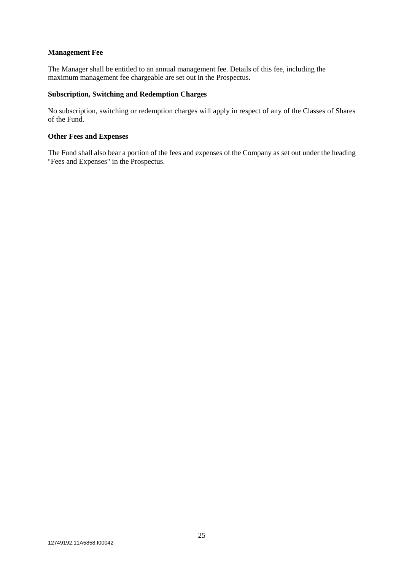### **Management Fee**

The Manager shall be entitled to an annual management fee. Details of this fee, including the maximum management fee chargeable are set out in the Prospectus.

## **Subscription, Switching and Redemption Charges**

No subscription, switching or redemption charges will apply in respect of any of the Classes of Shares of the Fund.

#### **Other Fees and Expenses**

The Fund shall also bear a portion of the fees and expenses of the Company as set out under the heading "Fees and Expenses" in the Prospectus.